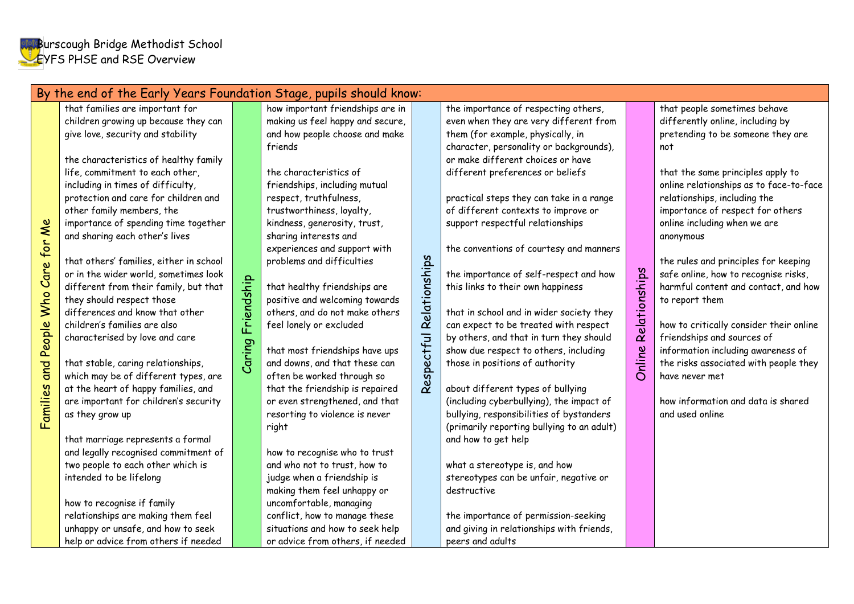| By the end of the Early Years Foundation Stage, pupils should know: |                                                                                                                                                                                                                                                                                                                                                                                                                                                                                                                                                                                                                                                                                                                                                                                                                                                                                                                                                                                                                                                                                                          |                      |                                                                                                                                                                                                                                                                                                                                                                                                                                                                                                                                                                                                                                                                                                                                                                                                                                                                                                                                                                            |                          |                                                                                                                                                                                                                                                                                                                                                                                                                                                                                                                                                                                                                                                                                                                                                                                                                                                                                                                                                                                                                                                                                                           |                                |                                                                                                                                                                                                                                                                                                                                                                                                                                                                                                                                                                                                                                                                                            |
|---------------------------------------------------------------------|----------------------------------------------------------------------------------------------------------------------------------------------------------------------------------------------------------------------------------------------------------------------------------------------------------------------------------------------------------------------------------------------------------------------------------------------------------------------------------------------------------------------------------------------------------------------------------------------------------------------------------------------------------------------------------------------------------------------------------------------------------------------------------------------------------------------------------------------------------------------------------------------------------------------------------------------------------------------------------------------------------------------------------------------------------------------------------------------------------|----------------------|----------------------------------------------------------------------------------------------------------------------------------------------------------------------------------------------------------------------------------------------------------------------------------------------------------------------------------------------------------------------------------------------------------------------------------------------------------------------------------------------------------------------------------------------------------------------------------------------------------------------------------------------------------------------------------------------------------------------------------------------------------------------------------------------------------------------------------------------------------------------------------------------------------------------------------------------------------------------------|--------------------------|-----------------------------------------------------------------------------------------------------------------------------------------------------------------------------------------------------------------------------------------------------------------------------------------------------------------------------------------------------------------------------------------------------------------------------------------------------------------------------------------------------------------------------------------------------------------------------------------------------------------------------------------------------------------------------------------------------------------------------------------------------------------------------------------------------------------------------------------------------------------------------------------------------------------------------------------------------------------------------------------------------------------------------------------------------------------------------------------------------------|--------------------------------|--------------------------------------------------------------------------------------------------------------------------------------------------------------------------------------------------------------------------------------------------------------------------------------------------------------------------------------------------------------------------------------------------------------------------------------------------------------------------------------------------------------------------------------------------------------------------------------------------------------------------------------------------------------------------------------------|
| Families and People Who Care for Me<br>as they grow up              | that families are important for<br>children growing up because they can<br>give love, security and stability<br>the characteristics of healthy family<br>life, commitment to each other,<br>including in times of difficulty,<br>protection and care for children and<br>other family members, the<br>importance of spending time together<br>and sharing each other's lives<br>that others' families, either in school<br>or in the wider world, sometimes look<br>different from their family, but that<br>they should respect those<br>differences and know that other<br>children's families are also<br>characterised by love and care<br>that stable, caring relationships,<br>which may be of different types, are<br>at the heart of happy families, and<br>are important for children's security<br>that marriage represents a formal<br>and legally recognised commitment of<br>two people to each other which is<br>intended to be lifelong<br>how to recognise if family<br>relationships are making them feel<br>unhappy or unsafe, and how to seek<br>help or advice from others if needed | Friendship<br>Caring | how important friendships are in<br>making us feel happy and secure,<br>and how people choose and make<br>friends<br>the characteristics of<br>friendships, including mutual<br>respect, truthfulness,<br>trustworthiness, loyalty,<br>kindness, generosity, trust,<br>sharing interests and<br>experiences and support with<br>problems and difficulties<br>that healthy friendships are<br>positive and welcoming towards<br>others, and do not make others<br>feel lonely or excluded<br>that most friendships have ups<br>and downs, and that these can<br>often be worked through so<br>that the friendship is repaired<br>or even strengthened, and that<br>resorting to violence is never<br>right<br>how to recognise who to trust<br>and who not to trust, how to<br>judge when a friendship is<br>making them feel unhappy or<br>uncomfortable, managing<br>conflict, how to manage these<br>situations and how to seek help<br>or advice from others, if needed | Respectful Relationships | the importance of respecting others,<br>even when they are very different from<br>them (for example, physically, in<br>character, personality or backgrounds),<br>or make different choices or have<br>different preferences or beliefs<br>practical steps they can take in a range<br>of different contexts to improve or<br>support respectful relationships<br>the conventions of courtesy and manners<br>the importance of self-respect and how<br>this links to their own happiness<br>that in school and in wider society they<br>can expect to be treated with respect<br>by others, and that in turn they should<br>show due respect to others, including<br>those in positions of authority<br>about different types of bullying<br>(including cyberbullying), the impact of<br>bullying, responsibilities of bystanders<br>(primarily reporting bullying to an adult)<br>and how to get help<br>what a stereotype is, and how<br>stereotypes can be unfair, negative or<br>destructive<br>the importance of permission-seeking<br>and giving in relationships with friends,<br>peers and adults | Relationships<br><b>Online</b> | that people sometimes behave<br>differently online, including by<br>pretending to be someone they are<br>not<br>that the same principles apply to<br>online relationships as to face-to-face<br>relationships, including the<br>importance of respect for others<br>online including when we are<br>anonymous<br>the rules and principles for keeping<br>safe online, how to recognise risks,<br>harmful content and contact, and how<br>to report them<br>how to critically consider their online<br>friendships and sources of<br>information including awareness of<br>the risks associated with people they<br>have never met<br>how information and data is shared<br>and used online |